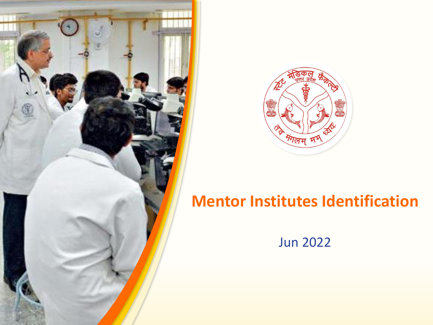



## **Mentor Institutes Identification**

Jun 2022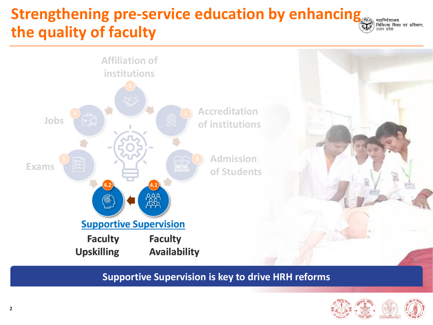# **Strengthening pre-service education by enhancing the quality of faculty**



**Supportive Supervision is key to drive HRH reforms**



्महानिदेशालय<br>| चिकित्सा शिक्षा एवं प्रशिक्षण,<br>| उत्तर प्रदेश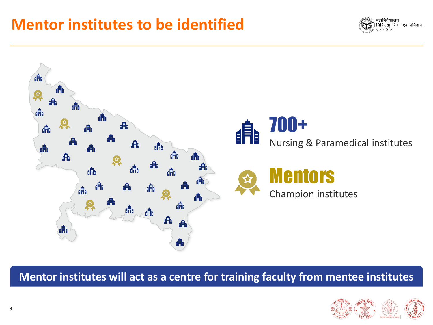### **Mentor institutes to be identified**





**Mentor institutes will act as a centre for training faculty from mentee institutes** 

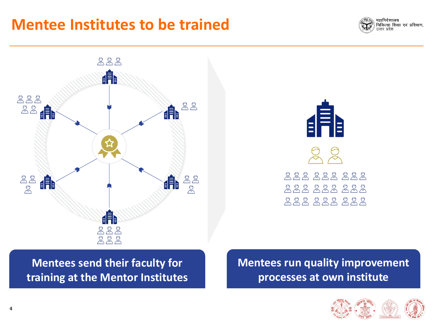#### **Mentee Institutes to be trained**







**Mentees send their faculty for training at the Mentor Institutes** **Mentees run quality improvement processes at own institute**

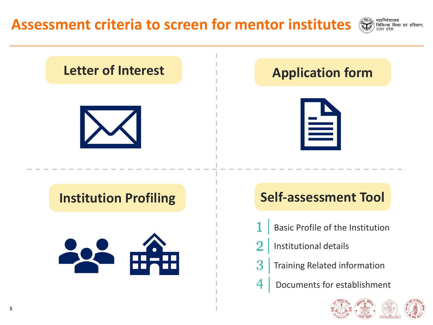

महानिदेशालय

।<br>| चिकित्सा शिक्षा एवं प्रशिक्षण,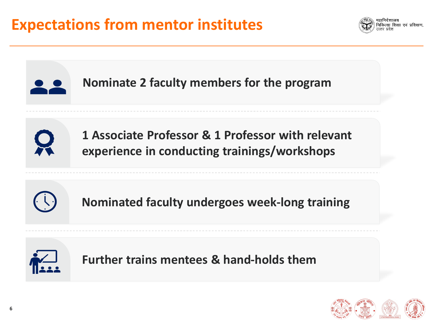



**Further trains mentees & hand-holds them** 



.<br>ल्सा शिक्षा एवं प्रशिक्षण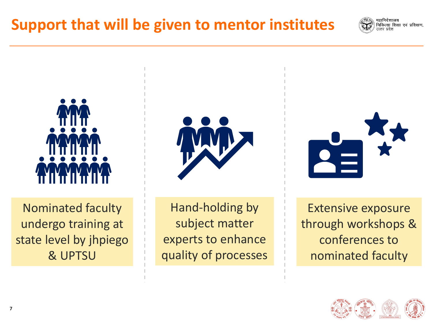



Nominated faculty undergo training at state level by jhpiego & UPTSU



Hand-holding by subject matter experts to enhance quality of processes



Extensive exposure through workshops & conferences to nominated faculty

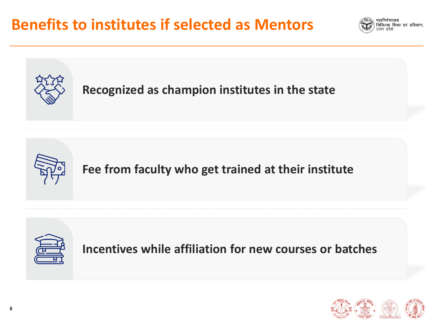





**Fee from faculty who get trained at their institute**



**Incentives while affiliation for new courses or batches**

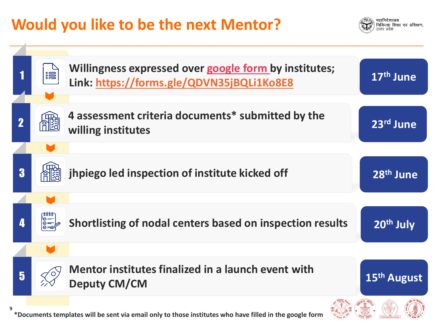# **Would you like to be the next Mentor?**

नलान्चरतस्य<br>चिकित्सा शिक्षा एवं प्रशिक्षण,

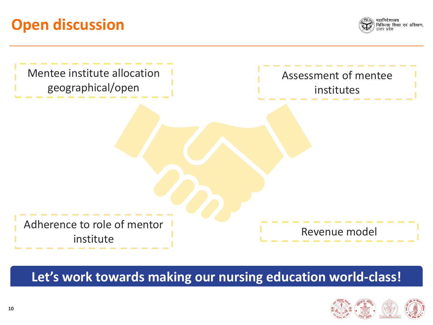## **Open discussion**





**Let's work towards making our nursing education world-class!**